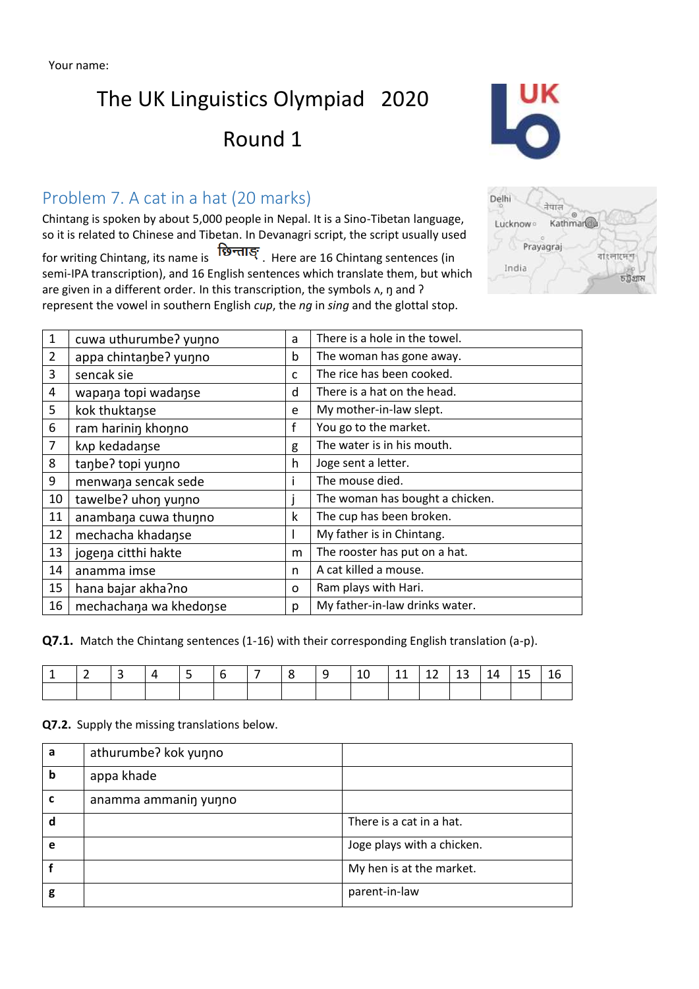# The UK Linguistics Olympiad 2020

# Round 1

## Problem 7. A cat in a hat (20 marks)

Chintang is spoken by about 5,000 people in Nepal. It is a Sino-Tibetan language, so it is related to Chinese and Tibetan. In Devanagri script, the script usually used

for writing Chintang, its name is  $\overline{\mathbf{18}}$  Here are 16 Chintang sentences (in semi-IPA transcription), and 16 English sentences which translate them, but which are given in a different order. In this transcription, the symbols  $\lambda$ ,  $\eta$  and  $\lambda$ represent the vowel in southern English *cup*, the *ng* in *sing* and the glottal stop.

| <b>Ø</b><br>Kathmar <sup>a</sup> |
|----------------------------------|
| বাংলাদেশ                         |
| চট্টগ্ৰাম                        |
|                                  |

| $\mathbf{1}$   | cuwa uthurumbe? yunno  | a            | There is a hole in the towel.   |
|----------------|------------------------|--------------|---------------------------------|
| $\overline{2}$ | appa chintanbe? yunno  | b            | The woman has gone away.        |
| 3              | sencak sie             | $\mathsf{C}$ | The rice has been cooked.       |
| 4              | wapana topi wadanse    | d            | There is a hat on the head.     |
| 5              | kok thuktanse          | e            | My mother-in-law slept.         |
| 6              | ram harinin khonno     | f            | You go to the market.           |
| $\overline{7}$ | knp kedadanse          | g            | The water is in his mouth.      |
| 8              | tanbe? topi yunno      | h            | Joge sent a letter.             |
| 9              | menwana sencak sede    | L            | The mouse died.                 |
| 10             | tawelbe? uhon yunno    |              | The woman has bought a chicken. |
| 11             | anambana cuwa thunno   | k            | The cup has been broken.        |
| 12             | mechacha khadanse      | L            | My father is in Chintang.       |
| 13             | jogena citthi hakte    | m            | The rooster has put on a hat.   |
| 14             | anamma imse            | n            | A cat killed a mouse.           |
| 15             | hana bajar akha?no     | 0            | Ram plays with Hari.            |
| 16             | mechachana wa khedonse | p            | My father-in-law drinks water.  |

**Q7.1.** Match the Chintang sentences (1-16) with their corresponding English translation (a-p).

|  | ∸ | - |  | <u>u</u> | -- | - | ∸~<br>$\sim$ | --<br>__ | ∸ |
|--|---|---|--|----------|----|---|--------------|----------|---|
|  |   |   |  |          |    |   |              |          |   |

**Q7.2.** Supply the missing translations below.

| a | athurumbe? kok yunno |                            |
|---|----------------------|----------------------------|
| b | appa khade           |                            |
| C | anamma ammanin yunno |                            |
| d |                      | There is a cat in a hat.   |
| e |                      | Joge plays with a chicken. |
|   |                      | My hen is at the market.   |
| g |                      | parent-in-law              |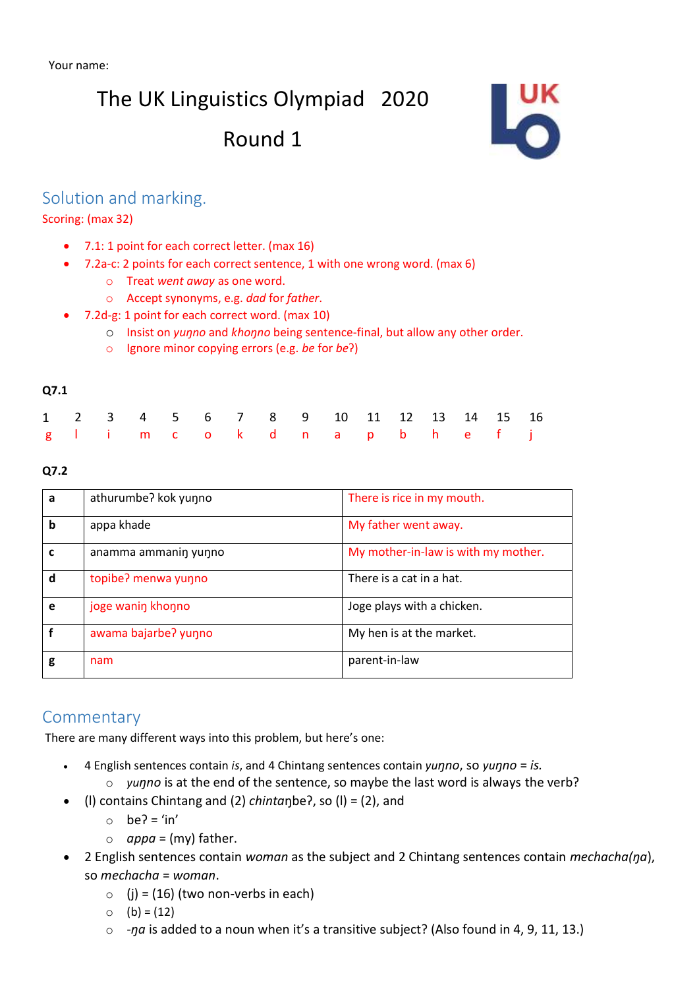# The UK Linguistics Olympiad 2020

# Round 1



### Solution and marking.

Scoring: (max 32)

- 7.1: 1 point for each correct letter. (max 16)
- 7.2a-c: 2 points for each correct sentence, 1 with one wrong word. (max 6)
	- o Treat *went away* as one word.
	- o Accept synonyms, e.g. *dad* for *father*.
- 7.2d-g: 1 point for each correct word. (max 10)
	- o Insist on *yuŋno* and *khoŋno* being sentence-final, but allow any other order.
	- o Ignore minor copying errors (e.g. *be* for *be*ʔ)

#### **Q7.1**

|  |  |  |  | 1 2 3 4 5 6 7 8 9 10 11 12 13 14 15 16 |  |  |  |
|--|--|--|--|----------------------------------------|--|--|--|
|  |  |  |  | glimcok dnapbhefj                      |  |  |  |

#### **Q7.2**

| a | athurumbe? kok yunno | There is rice in my mouth.          |
|---|----------------------|-------------------------------------|
| b | appa khade           | My father went away.                |
| C | anamma ammanin yunno | My mother-in-law is with my mother. |
| d | topibe? menwa yunno  | There is a cat in a hat.            |
| e | joge wanin khonno    | Joge plays with a chicken.          |
|   | awama bajarbe? yunno | My hen is at the market.            |
| g | nam                  | parent-in-law                       |

#### **Commentary**

There are many different ways into this problem, but here's one:

- 4 English sentences contain *is*, and 4 Chintang sentences contain *yuŋno*, so *yuŋno* = *is.*
	- o *yuŋno* is at the end of the sentence, so maybe the last word is always the verb?
- (l) contains Chintang and (2) *chinta*ŋbeʔ, so (l) = (2), and
	- $\circ$  be? = 'in'
		- $\circ$  *appa* = (my) father.
- 2 English sentences contain *woman* as the subject and 2 Chintang sentences contain *mechacha(ŋa*), so *mechacha* = *woman*.
	- $\circ$  (i) = (16) (two non-verbs in each)
	- $\circ$  (b) = (12)
	- o *-ŋa* is added to a noun when it's a transitive subject? (Also found in 4, 9, 11, 13.)